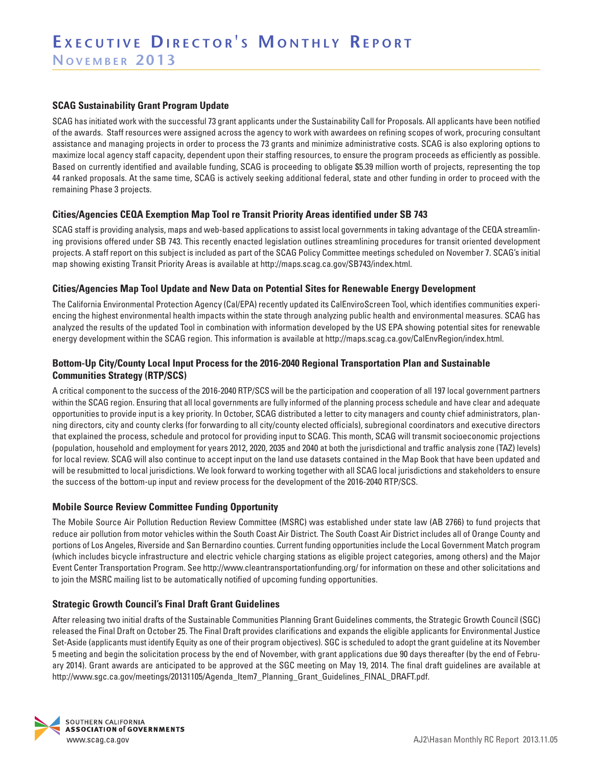#### **SCAG Sustainability Grant Program Update**

SCAG has initiated work with the successful 73 grant applicants under the Sustainability Call for Proposals. All applicants have been notified of the awards. Staff resources were assigned across the agency to work with awardees on refining scopes of work, procuring consultant assistance and managing projects in order to process the 73 grants and minimize administrative costs. SCAG is also exploring options to maximize local agency staff capacity, dependent upon their staffing resources, to ensure the program proceeds as efficiently as possible. Based on currently identified and available funding, SCAG is proceeding to obligate \$5.39 million worth of projects, representing the top 44 ranked proposals. At the same time, SCAG is actively seeking additional federal, state and other funding in order to proceed with the remaining Phase 3 projects.

#### **Cities/Agencies CEQA Exemption Map Tool re Transit Priority Areas identified under SB 743**

SCAG staff is providing analysis, maps and web-based applications to assist local governments in taking advantage of the CEQA streamlining provisions offered under SB 743. This recently enacted legislation outlines streamlining procedures for transit oriented development projects. A staff report on this subject is included as part of the SCAG Policy Committee meetings scheduled on November 7. SCAG's initial map showing existing Transit Priority Areas is available at http://maps.scag.ca.gov/SB743/index.html.

#### **Cities/Agencies Map Tool Update and New Data on Potential Sites for Renewable Energy Development**

The California Environmental Protection Agency (Cal/EPA) recently updated its CalEnviroScreen Tool, which identifies communities experiencing the highest environmental health impacts within the state through analyzing public health and environmental measures. SCAG has analyzed the results of the updated Tool in combination with information developed by the US EPA showing potential sites for renewable energy development within the SCAG region. This information is available at http://maps.scag.ca.gov/CalEnvRegion/index.html.

### **Bottom-Up City/County Local Input Process for the 2016-2040 Regional Transportation Plan and Sustainable Communities Strategy (RTP/SCS)**

A critical component to the success of the 2016-2040 RTP/SCS will be the participation and cooperation of all 197 local government partners within the SCAG region. Ensuring that all local governments are fully informed of the planning process schedule and have clear and adequate opportunities to provide input is a key priority. In October, SCAG distributed a letter to city managers and county chief administrators, planning directors, city and county clerks (for forwarding to all city/county elected officials), subregional coordinators and executive directors that explained the process, schedule and protocol for providing input to SCAG. This month, SCAG will transmit socioeconomic projections (population, household and employment for years 2012, 2020, 2035 and 2040 at both the jurisdictional and traffic analysis zone (TAZ) levels) for local review. SCAG will also continue to accept input on the land use datasets contained in the Map Book that have been updated and will be resubmitted to local jurisdictions. We look forward to working together with all SCAG local jurisdictions and stakeholders to ensure the success of the bottom-up input and review process for the development of the 2016-2040 RTP/SCS.

#### **Mobile Source Review Committee Funding Opportunity**

The Mobile Source Air Pollution Reduction Review Committee (MSRC) was established under state law (AB 2766) to fund projects that reduce air pollution from motor vehicles within the South Coast Air District. The South Coast Air District includes all of Orange County and portions of Los Angeles, Riverside and San Bernardino counties. Current funding opportunities include the Local Government Match program (which includes bicycle infrastructure and electric vehicle charging stations as eligible project categories, among others) and the Major Event Center Transportation Program. See http://www.cleantransportationfunding.org/ for information on these and other solicitations and to join the MSRC mailing list to be automatically notified of upcoming funding opportunities.

### **Strategic Growth Council's Final Draft Grant Guidelines**

After releasing two initial drafts of the Sustainable Communities Planning Grant Guidelines comments, the Strategic Growth Council (SGC) released the Final Draft on October 25. The Final Draft provides clarifications and expands the eligible applicants for Environmental Justice Set-Aside (applicants must identify Equity as one of their program objectives). SGC is scheduled to adopt the grant guideline at its November 5 meeting and begin the solicitation process by the end of November, with grant applications due 90 days thereafter (by the end of February 2014). Grant awards are anticipated to be approved at the SGC meeting on May 19, 2014. The final draft guidelines are available at http://www.sgc.ca.gov/meetings/20131105/Agenda\_Item7\_Planning\_Grant\_Guidelines\_FINAL\_DRAFT.pdf.